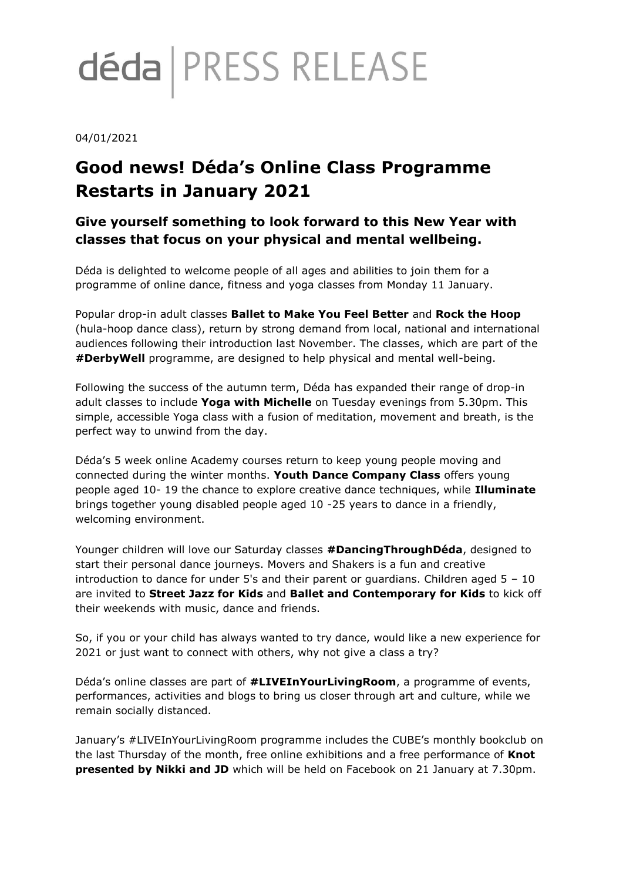# déda | PRESS RELEASE

#### 04/01/2021

## **Good news! Déda's Online Class Programme Restarts in January 2021**

### **Give yourself something to look forward to this New Year with classes that focus on your physical and mental wellbeing.**

Déda is delighted to welcome people of all ages and abilities to join them for a programme of online dance, fitness and yoga classes from Monday 11 January.

Popular drop-in adult classes **Ballet to Make You Feel Better** and **Rock the Hoop** (hula-hoop dance class), return by strong demand from local, national and international audiences following their introduction last November. The classes, which are part of the **#DerbyWell** programme, are designed to help physical and mental well-being.

Following the success of the autumn term, Déda has expanded their range of drop-in adult classes to include **Yoga with Michelle** on Tuesday evenings from 5.30pm. This simple, accessible Yoga class with a fusion of meditation, movement and breath, is the perfect way to unwind from the day.

Déda's 5 week online Academy courses return to keep young people moving and connected during the winter months. **Youth Dance Company Class** offers young people aged 10- 19 the chance to explore creative dance techniques, while **Illuminate** brings together young disabled people aged 10 -25 years to dance in a friendly, welcoming environment.

Younger children will love our Saturday classes **#DancingThroughDéda**, designed to start their personal dance journeys. Movers and Shakers is a fun and creative introduction to dance for under 5's and their parent or quardians. Children aged  $5 - 10$ are invited to **Street Jazz for Kids** and **Ballet and Contemporary for Kids** to kick off their weekends with music, dance and friends.

So, if you or your child has always wanted to try dance, would like a new experience for 2021 or just want to connect with others, why not give a class a try?

Déda's online classes are part of **#LIVEInYourLivingRoom**, a programme of events, performances, activities and blogs to bring us closer through art and culture, while we remain socially distanced.

January's #LIVEInYourLivingRoom programme includes the CUBE's monthly bookclub on the last Thursday of the month, free online exhibitions and a free performance of **Knot presented by Nikki and JD** which will be held on Facebook on 21 January at 7.30pm.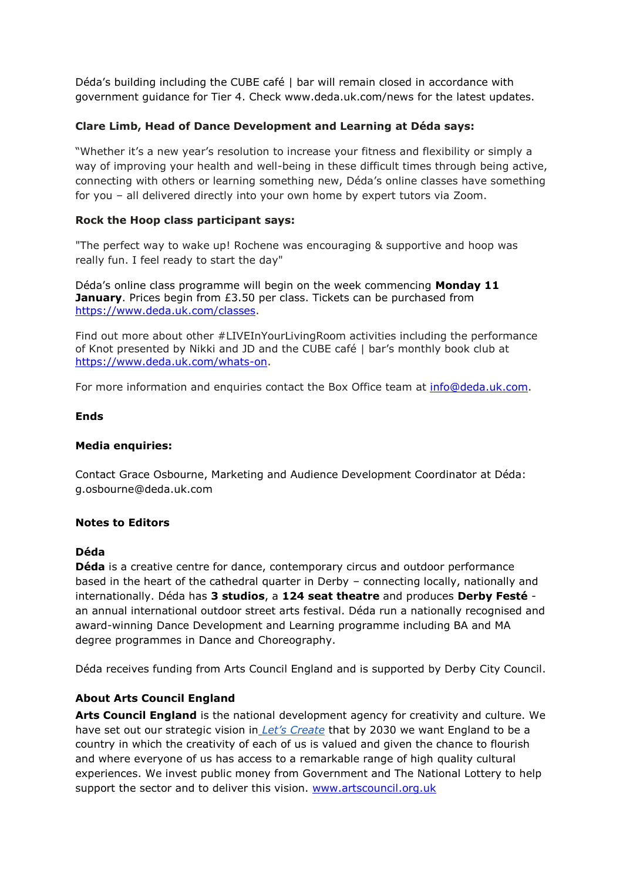Déda's building including the CUBE café | bar will remain closed in accordance with government guidance for Tier 4. Check www.deda.uk.com/news for the latest updates.

#### **Clare Limb, Head of Dance Development and Learning at Déda says:**

"Whether it's a new year's resolution to increase your fitness and flexibility or simply a way of improving your health and well-being in these difficult times through being active, connecting with others or learning something new, Déda's online classes have something for you – all delivered directly into your own home by expert tutors via Zoom.

#### **Rock the Hoop class participant says:**

"The perfect way to wake up! Rochene was encouraging & supportive and hoop was really fun. I feel ready to start the day"

Déda's online class programme will begin on the week commencing **Monday 11 January**. Prices begin from £3.50 per class. Tickets can be purchased from [https://www.deda.uk.com/classes.](https://www.deda.uk.com/classes)

Find out more about other #LIVEInYourLivingRoom activities including the performance of Knot presented by Nikki and JD and the CUBE café | bar's monthly book club at [https://www.deda.uk.com/whats-on.](https://www.deda.uk.com/whats-on)

For more information and enquiries contact the Box Office team at [info@deda.uk.com.](mailto:info@deda.uk.com)

#### **Ends**

#### **Media enquiries:**

Contact Grace Osbourne, Marketing and Audience Development Coordinator at Déda: g.osbourne@deda.uk.com

#### **Notes to Editors**

#### **Déda**

**Déda** is a creative centre for dance, contemporary circus and outdoor performance based in the heart of the cathedral quarter in Derby – connecting locally, nationally and internationally. Déda has **3 studios**, a **124 seat theatre** and produces **Derby Festé**  an annual international outdoor street arts festival. Déda run a nationally recognised and award-winning Dance Development and Learning programme including BA and MA degree programmes in Dance and Choreography.

Déda receives funding from Arts Council England and is supported by Derby City Council.

#### **About Arts Council England**

**Arts Council England** is the national development agency for creativity and culture. We have set out our strategic vision in *[Let's Create](https://www.artscouncil.org.uk/letscreate)* that by 2030 we want England to be a country in which the creativity of each of us is valued and given the chance to flourish and where everyone of us has access to a remarkable range of high quality cultural experiences. We invest public money from Government and The National Lottery to help support the sector and to deliver this vision. [www.artscouncil.org.uk](http://www.artscouncil.org.uk/)